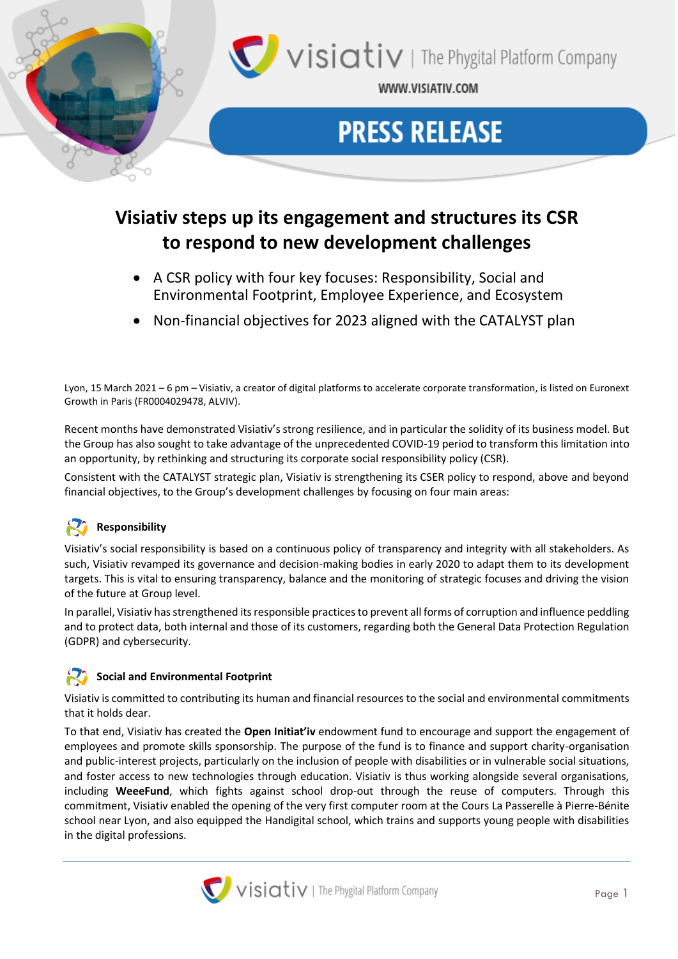

# **Visiativ steps up its engagement and structures its CSR to respond to new development challenges**

- A CSR policy with four key focuses: Responsibility, Social and Environmental Footprint, Employee Experience, and Ecosystem
- Non-financial objectives for 2023 aligned with the CATALYST plan

Lyon, 15 March 2021 – 6 pm – Visiativ, a creator of digital platforms to accelerate corporate transformation, is listed on Euronext Growth in Paris (FR0004029478, ALVIV).

Recent months have demonstrated Visiativ's strong resilience, and in particular the solidity of its business model. But the Group has also sought to take advantage of the unprecedented COVID-19 period to transform this limitation into an opportunity, by rethinking and structuring its corporate social responsibility policy (CSR).

Consistent with the CATALYST strategic plan, Visiativ is strengthening its CSER policy to respond, above and beyond financial objectives, to the Group's development challenges by focusing on four main areas:

# **Responsibility**

Visiativ's social responsibility is based on a continuous policy of transparency and integrity with all stakeholders. As such, Visiativ revamped its governance and decision-making bodies in early 2020 to adapt them to its development targets. This is vital to ensuring transparency, balance and the monitoring of strategic focuses and driving the vision of the future at Group level.

In parallel, Visiativ hasstrengthened its responsible practices to prevent all forms of corruption and influence peddling and to protect data, both internal and those of its customers, regarding both the General Data Protection Regulation (GDPR) and cybersecurity.

### **Social and Environmental Footprint**

Visiativ is committed to contributing its human and financial resources to the social and environmental commitments that it holds dear.

To that end, Visiativ has created the **Open Initiat'iv** endowment fund to encourage and support the engagement of employees and promote skills sponsorship. The purpose of the fund is to finance and support charity-organisation and public-interest projects, particularly on the inclusion of people with disabilities or in vulnerable social situations, and foster access to new technologies through education. Visiativ is thus working alongside several organisations, including **WeeeFund**, which fights against school drop-out through the reuse of computers. Through this commitment, Visiativ enabled the opening of the very first computer room at the Cours La Passerelle à Pierre-Bénite school near Lyon, and also equipped the Handigital school, which trains and supports young people with disabilities in the digital professions.

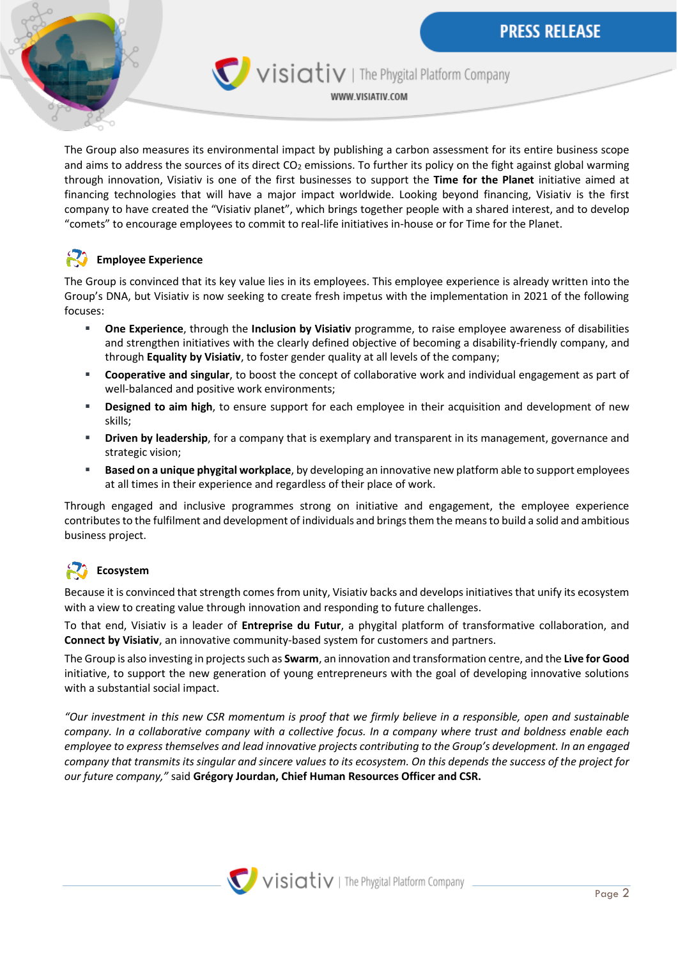

Visiativ | The Phygital Platform Company

WWW.VISIATIV.COM

The Group also measures its environmental impact by publishing a carbon assessment for its entire business scope and aims to address the sources of its direct  $CO<sub>2</sub>$  emissions. To further its policy on the fight against global warming through innovation, Visiativ is one of the first businesses to support the **Time for the Planet** initiative aimed at financing technologies that will have a major impact worldwide. Looking beyond financing, Visiativ is the first company to have created the "Visiativ planet", which brings together people with a shared interest, and to develop "comets" to encourage employees to commit to real-life initiatives in-house or for Time for the Planet.

## **Employee Experience**

The Group is convinced that its key value lies in its employees. This employee experience is already written into the Group's DNA, but Visiativ is now seeking to create fresh impetus with the implementation in 2021 of the following focuses:

- **One Experience**, through the **Inclusion by Visiativ** programme, to raise employee awareness of disabilities and strengthen initiatives with the clearly defined objective of becoming a disability-friendly company, and through **Equality by Visiativ**, to foster gender quality at all levels of the company;
- **Cooperative and singular**, to boost the concept of collaborative work and individual engagement as part of well-balanced and positive work environments;
- **EXECT** Designed to aim high, to ensure support for each employee in their acquisition and development of new skills;
- **EXP** Driven by leadership, for a company that is exemplary and transparent in its management, governance and strategic vision;
- **Based on a unique phygital workplace**, by developing an innovative new platform able to support employees at all times in their experience and regardless of their place of work.

Through engaged and inclusive programmes strong on initiative and engagement, the employee experience contributes to the fulfilment and development of individuals and brings them the means to build a solid and ambitious business project.

# **Ecosystem**

Because it is convinced that strength comes from unity, Visiativ backs and develops initiatives that unify its ecosystem with a view to creating value through innovation and responding to future challenges.

To that end, Visiativ is a leader of **Entreprise du Futur**, a phygital platform of transformative collaboration, and **Connect by Visiativ**, an innovative community-based system for customers and partners.

The Group is also investing in projects such as **Swarm**, an innovation and transformation centre, and the **Live for Good** initiative, to support the new generation of young entrepreneurs with the goal of developing innovative solutions with a substantial social impact.

*"Our investment in this new CSR momentum is proof that we firmly believe in a responsible, open and sustainable company. In a collaborative company with a collective focus. In a company where trust and boldness enable each employee to express themselves and lead innovative projects contributing to the Group's development. In an engaged company that transmits its singular and sincere values to its ecosystem. On this depends the success of the project for our future company,"* said **Grégory Jourdan, Chief Human Resources Officer and CSR.**

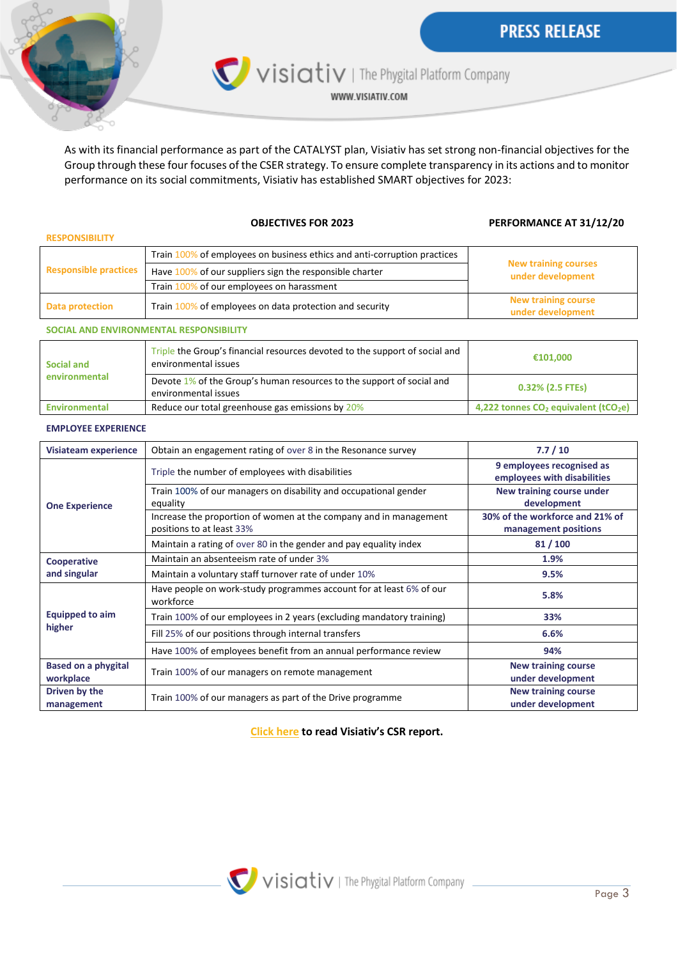

Visiativ | The Phygital Platform Company

WWW.VISIATIV.COM

As with its financial performance as part of the CATALYST plan, Visiativ has set strong non-financial objectives for the Group through these four focuses of the CSER strategy. To ensure complete transparency in its actions and to monitor performance on its social commitments, Visiativ has established SMART objectives for 2023:

#### **OBJECTIVES FOR 2023 PERFORMANCE AT 31/12/20**

| <b>RESPONSIBILITY</b>        |                                                                           |                                                  |
|------------------------------|---------------------------------------------------------------------------|--------------------------------------------------|
| <b>Responsible practices</b> | of employees on business ethics and anti-corruption practices<br>Train 10 | <b>New training courses</b><br>under development |
|                              | 6 of our suppliers sign the responsible charter<br>Have 100%              |                                                  |
|                              | of our employees on harassment<br><b>Train 100%</b>                       |                                                  |
| Data protection              | Train 100% of employees on data protection and security                   | <b>New training course</b><br>under development  |

#### **SOCIAL AND ENVIRONMENTAL RESPONSIBILITY**

| Social and<br>environmental | Triple the Group's financial resources devoted to the support of social and<br>environmental issues | €101.000                                           |
|-----------------------------|-----------------------------------------------------------------------------------------------------|----------------------------------------------------|
|                             | Devote 1% of the Group's human resources to the support of social and<br>environmental issues       | $0.32\%$ (2.5 FTEs)                                |
| Environmental               | Reduce our total greenhouse gas emissions by 20%                                                    | 4,222 tonnes $CO2$ equivalent (tCO <sub>2</sub> e) |

#### **EMPLOYEE EXPERIENCE**

| Visiateam experience             | Obtain an engagement rating of over 8 in the Resonance survey                                  | 7.7/10                                                   |
|----------------------------------|------------------------------------------------------------------------------------------------|----------------------------------------------------------|
| <b>One Experience</b>            | Triple the number of employees with disabilities                                               | 9 employees recognised as<br>employees with disabilities |
|                                  | Train 100% of our managers on disability and occupational gender<br>equality                   | New training course under<br>development                 |
|                                  | Increase the proportion of women at the company and in management<br>positions to at least 33% | 30% of the workforce and 21% of<br>management positions  |
|                                  | Maintain a rating of over 80 in the gender and pay equality index                              | 81/100                                                   |
| Cooperative<br>and singular      | Maintain an absenteeism rate of under 3%                                                       | 1.9%                                                     |
|                                  | Maintain a voluntary staff turnover rate of under 10%                                          | 9.5%                                                     |
| <b>Equipped to aim</b><br>higher | Have people on work-study programmes account for at least 6% of our<br>workforce               | 5.8%                                                     |
|                                  | Train 100% of our employees in 2 years (excluding mandatory training)                          | 33%                                                      |
|                                  | Fill 25% of our positions through internal transfers                                           | 6.6%                                                     |
|                                  | Have 100% of employees benefit from an annual performance review                               | 94%                                                      |
| <b>Based on a phygital</b>       | Train 100% of our managers on remote management                                                | <b>New training course</b>                               |
| workplace                        |                                                                                                | under development                                        |
| Driven by the                    | Train 100% of our managers as part of the Drive programme                                      | <b>New training course</b>                               |
| management                       |                                                                                                | under development                                        |

### **[Click here](https://www.visiativ.com/wp-content/uploads/2021/03/Final-Web-Rapport-RSE-2020-eng_compressed.pdf) to read Visiativ's CSR report.**